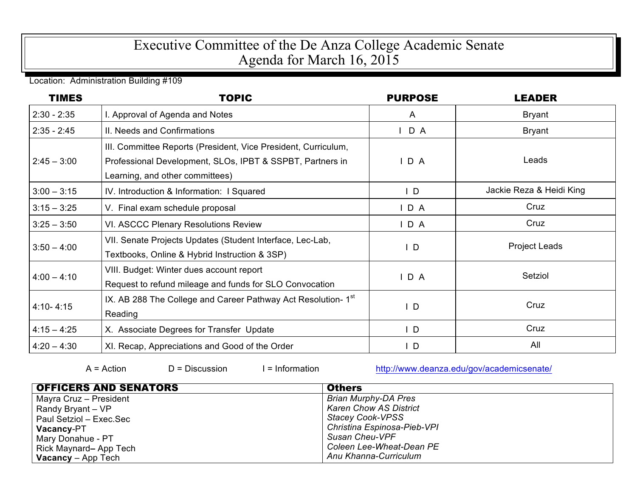## Executive Committee of the De Anza College Academic Senate Agenda for March 16, 2015

Location: Administration Building #109

| <b>TIMES</b>  | <b>TOPIC</b>                                                                                                                                                   | <b>PURPOSE</b> | <b>LEADER</b>            |
|---------------|----------------------------------------------------------------------------------------------------------------------------------------------------------------|----------------|--------------------------|
| $2:30 - 2:35$ | I. Approval of Agenda and Notes                                                                                                                                | $\mathsf{A}$   | <b>Bryant</b>            |
| $2:35 - 2:45$ | II. Needs and Confirmations                                                                                                                                    | D A            | <b>Bryant</b>            |
| $2:45 - 3:00$ | III. Committee Reports (President, Vice President, Curriculum,<br>Professional Development, SLOs, IPBT & SSPBT, Partners in<br>Learning, and other committees) | D A            | Leads                    |
| $3:00 - 3:15$ | IV. Introduction & Information: I Squared                                                                                                                      | $\mathsf{L}$   | Jackie Reza & Heidi King |
| $3:15 - 3:25$ | V. Final exam schedule proposal                                                                                                                                | IDA            | Cruz                     |
| $3:25 - 3:50$ | VI. ASCCC Plenary Resolutions Review                                                                                                                           | $I$ D A        | Cruz                     |
| $3:50 - 4:00$ | VII. Senate Projects Updates (Student Interface, Lec-Lab,<br>Textbooks, Online & Hybrid Instruction & 3SP)                                                     | $\mathsf{L}$   | <b>Project Leads</b>     |
| $4:00 - 4:10$ | VIII. Budget: Winter dues account report<br>Request to refund mileage and funds for SLO Convocation                                                            | $I$ D A        | Setziol                  |
| $4:10 - 4:15$ | IX. AB 288 The College and Career Pathway Act Resolution-1 <sup>st</sup><br>Reading                                                                            | $\mathsf{I}$ D | Cruz                     |
| $4:15 - 4:25$ | X. Associate Degrees for Transfer Update                                                                                                                       | $\mathsf{I}$   | Cruz                     |
| $4:20 - 4:30$ | XI. Recap, Appreciations and Good of the Order                                                                                                                 | $\mathsf{I}$ D | All                      |

A = Action D = Discussion I = Information http://www.deanza.edu/gov/academicsenate/

| <b>OFFICERS AND SENATORS</b> | <b>Others</b>                 |
|------------------------------|-------------------------------|
| Mayra Cruz - President       | <b>Brian Murphy-DA Pres</b>   |
| Randy Bryant - VP            | <b>Karen Chow AS District</b> |
| Paul Setziol - Exec.Sec      | <b>Stacey Cook-VPSS</b>       |
| Vacancy-PT                   | Christina Espinosa-Pieb-VPI   |
| Mary Donahue - PT            | Susan Cheu-VPF                |
| Rick Maynard-App Tech        | Coleen Lee-Wheat-Dean PE      |
| <b>Vacancy</b> – App Tech    | Anu Khanna-Curriculum         |